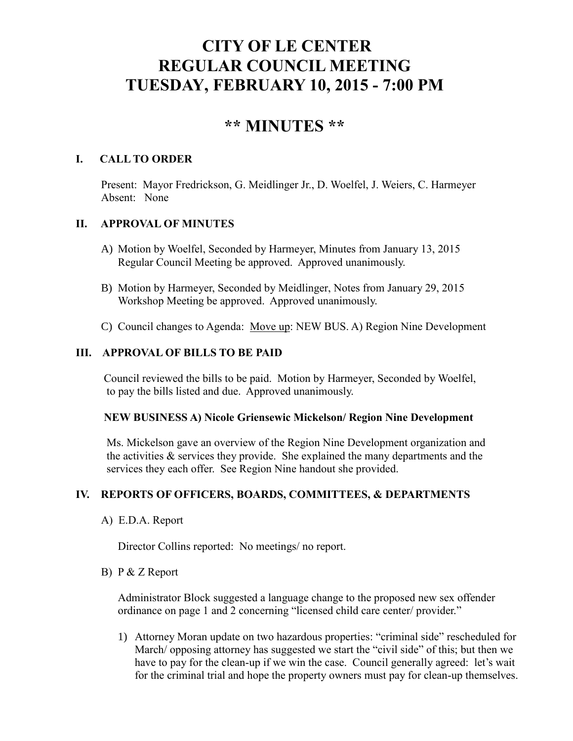# **CITY OF LE CENTER REGULAR COUNCIL MEETING TUESDAY, FEBRUARY 10, 2015 - 7:00 PM**

## **\*\* MINUTES \*\***

#### **I. CALL TO ORDER**

Present: Mayor Fredrickson, G. Meidlinger Jr., D. Woelfel, J. Weiers, C. Harmeyer Absent: None

## **II. APPROVAL OF MINUTES**

- A) Motion by Woelfel, Seconded by Harmeyer, Minutes from January 13, 2015 Regular Council Meeting be approved. Approved unanimously.
- B) Motion by Harmeyer, Seconded by Meidlinger, Notes from January 29, 2015 Workshop Meeting be approved. Approved unanimously.
- C) Council changes to Agenda: Move up: NEW BUS. A) Region Nine Development

#### **III. APPROVAL OF BILLS TO BE PAID**

Council reviewed the bills to be paid. Motion by Harmeyer, Seconded by Woelfel, to pay the bills listed and due. Approved unanimously.

#### **NEW BUSINESS A) Nicole Griensewic Mickelson/ Region Nine Development**

Ms. Mickelson gave an overview of the Region Nine Development organization and the activities  $\&$  services they provide. She explained the many departments and the services they each offer. See Region Nine handout she provided.

#### **IV. REPORTS OF OFFICERS, BOARDS, COMMITTEES, & DEPARTMENTS**

A) E.D.A. Report

Director Collins reported: No meetings/ no report.

#### B) P & Z Report

 Administrator Block suggested a language change to the proposed new sex offender ordinance on page 1 and 2 concerning "licensed child care center/ provider."

1) Attorney Moran update on two hazardous properties: "criminal side" rescheduled for March/ opposing attorney has suggested we start the "civil side" of this; but then we have to pay for the clean-up if we win the case. Council generally agreed: let's wait for the criminal trial and hope the property owners must pay for clean-up themselves.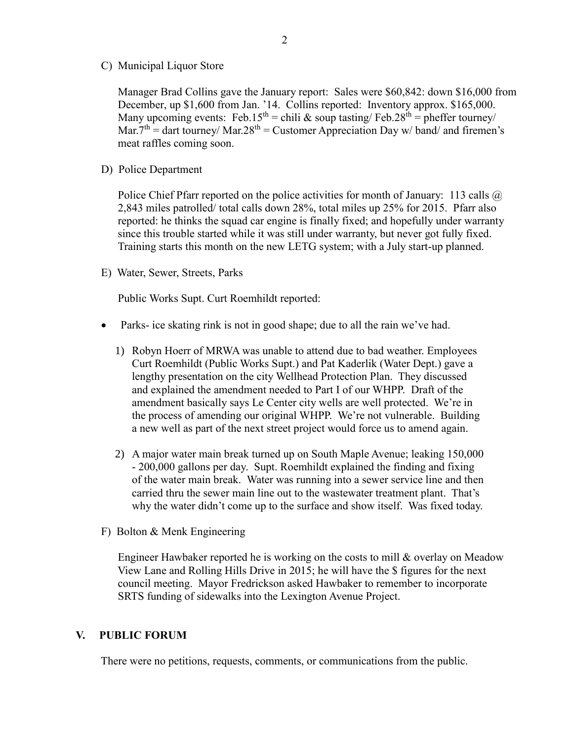C) Municipal Liquor Store

Manager Brad Collins gave the January report: Sales were \$60,842: down \$16,000 from December, up \$1,600 from Jan. '14. Collins reported: Inventory approx. \$165,000. Many upcoming events: Feb.15<sup>th</sup> = chili & soup tasting/ Feb.28<sup>th</sup> = pheffer tourney/ Mar.7<sup>th</sup> = dart tourney/ Mar.28<sup>th</sup> = Customer Appreciation Day w/ band/ and firemen's meat raffles coming soon.

D) Police Department

Police Chief Pfarr reported on the police activities for month of January: 113 calls @ 2,843 miles patrolled/ total calls down 28%, total miles up 25% for 2015. Pfarr also reported: he thinks the squad car engine is finally fixed; and hopefully under warranty since this trouble started while it was still under warranty, but never got fully fixed. Training starts this month on the new LETG system; with a July start-up planned.

E) Water, Sewer, Streets, Parks

Public Works Supt. Curt Roemhildt reported:

- Parks- ice skating rink is not in good shape; due to all the rain we've had.
	- 1) Robyn Hoerr of MRWA was unable to attend due to bad weather. Employees Curt Roemhildt (Public Works Supt.) and Pat Kaderlik (Water Dept.) gave a lengthy presentation on the city Wellhead Protection Plan. They discussed and explained the amendment needed to Part I of our WHPP. Draft of the amendment basically says Le Center city wells are well protected. We're in the process of amending our original WHPP. We're not vulnerable. Building a new well as part of the next street project would force us to amend again.
	- 2) A major water main break turned up on South Maple Avenue; leaking 150,000 - 200,000 gallons per day. Supt. Roemhildt explained the finding and fixing of the water main break. Water was running into a sewer service line and then carried thru the sewer main line out to the wastewater treatment plant. That's why the water didn't come up to the surface and show itself. Was fixed today.
- F) Bolton & Menk Engineering

Engineer Hawbaker reported he is working on the costs to mill  $\&$  overlay on Meadow View Lane and Rolling Hills Drive in 2015; he will have the \$ figures for the next council meeting. Mayor Fredrickson asked Hawbaker to remember to incorporate SRTS funding of sidewalks into the Lexington Avenue Project.

#### **V. PUBLIC FORUM**

There were no petitions, requests, comments, or communications from the public.